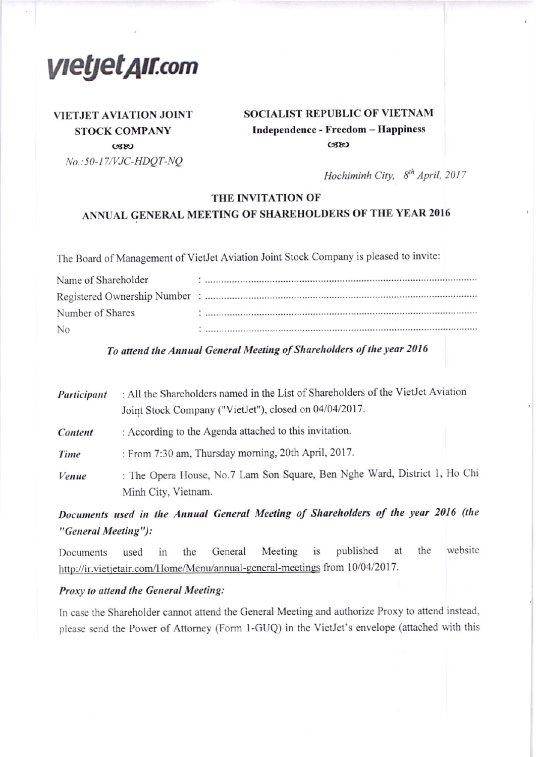*VIetjet AII.com* 

## **VIETJET AVIATION JOINT STOCK COMPANY**  $C380$ No.: 50-17/VJC-HDQT-NQ

## **SOCIALIST REPUBLIC OF VIETNAM** Independence - Freedom - Happiness  $C380$

Hochiminh City, 8<sup>th</sup> April, 2017

#### THE INVITATION OF

## ANNUAL GENERAL MEETING OF SHAREHOLDERS OF THE YEAR 2016

The Board of Management of VietJet Aviation Joint Stock Company is pleased to invite:

| Name of Shareholder |  |
|---------------------|--|
|                     |  |
| Number of Shares    |  |
| N <sub>0</sub>      |  |

To attend the Annual General Meeting of Shareholders of the year 2016

| Participant | : All the Shareholders named in the List of Shareholders of the VietJet Aviation<br>Joint Stock Company ("VietJet"), closed on 04/04/2017. |  |
|-------------|--------------------------------------------------------------------------------------------------------------------------------------------|--|
| Content     | : According to the Agenda attached to this invitation.                                                                                     |  |
| Time        | : From 7:30 am, Thursday morning, 20th April, 2017.                                                                                        |  |
| Venue       | : The Opera House, No.7 Lam Son Square, Ben Nghe Ward, District 1, Ho Chi<br>Minh City, Vietnam.                                           |  |

Documents used in the Annual General Meeting of Shareholders of the year 2016 (the "General Meeting"):

website the General Meeting is published at the Documents used in http://ir.vietjetair.com/Home/Menu/annual-general-meetings from 10/04/2017.

#### Proxy to attend the General Meeting:

In case the Shareholder cannot attend the General Meeting and authorize Proxy to attend instead, please send the Power of Attorney (Form 1-GUQ) in the VietJet's envelope (attached with this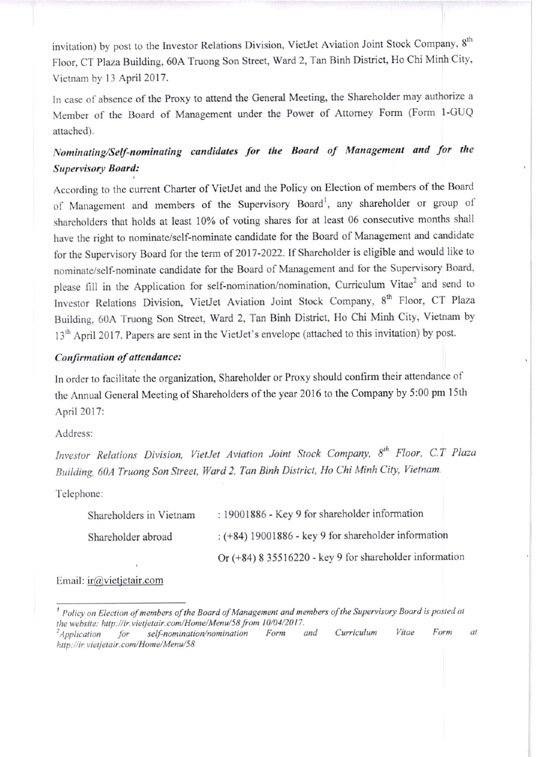invitation) by post to the Investor Relations Division, VietJet Aviation Joint Stock Company, 8<sup>th</sup> Floor, CT Plaza Building, 60A Truong Son Street, Ward 2, Tan Binh District, Ho Chi Minh City, Vietnam by 13 April 2017.

In case of absence of the Proxy to attend the General Meeting, the Shareholder may authorize <sup>a</sup> Member of the Board of Management under the Power of Attomey Fom (Form I-GUQ attached).

## Nominating/Self-nominating candidates for the Board of Management and for the Supervisory Board:

According to the current Charter of VietJet and the Policy on Election of members of the Board of Management and members of the Supervisory Board<sup>1</sup>, any shareholder or group of shareholders that holds at Ieast l0% of voting sharcs for at Ieast 06 consecutive months shall have the right to nominate/self-nominate candidate for the Board of Management and candidate for the Supervisory Board for the term of 2017-2022. If Shareholder is eligible and would like to nominate/self-nominate candidate for the Board of Management and for the Supervisory Board, please fill in the Application for self-nomination/nomination, Curriculum Vitae<sup>2</sup> and send to Investor Relations Division, VietJet Aviation Joint Stock Company, 8<sup>th</sup> Floor, CT Plaza Building, 60A Truong Son Street, Ward 2, Tan Binh District, Ho Chi Minh City, Vietnam by 13<sup>th</sup> April 2017. Papers are sent in the VietJet's envelope (attached to this invitation) by post.

### Confirmation of attendance:

In order to facilitate the organization, Shareholder or Proxy should confirm their attendance of the Annual General Meeting of Shareholders of the year 2016 to the Company by 5:00 pm 15th April 2017:

Address:

Investor Relations Division, VietJet Aviation Joint Stock Company, 8<sup>th</sup> Floor, C.T Plaza Building, 60A Truong Son Street, Ward 2, Tan Binh District, Ho Chi Minh City, Vietnam.

Tclephone:

| Shareholders in Vietnam | : 19001886 - Key 9 for shareholder information            |
|-------------------------|-----------------------------------------------------------|
| Shareholder abroad      | $:(+84)$ 19001886 - key 9 for shareholder information     |
|                         | Or $(+84)$ 8 35516220 - key 9 for shareholder information |

Email: ir $@$ vietietair.com

 $^1$  Policy on Election of members of the Board of Management and members of the Supervisory Board is posted at the website: http://ir.vietjetair.com/Home/Menu/58 from 10/04/2017.<br><sup>2</sup>Application for self-nomination/nomination Form and Curriculum Vitae Form

 $a$ t http://ir.vietjetair.com/Home/Menu/58